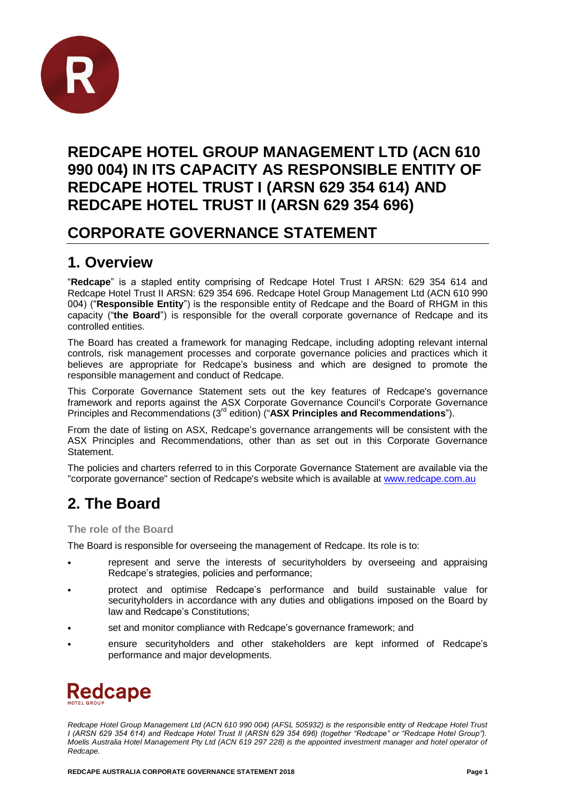

## **REDCAPE HOTEL GROUP MANAGEMENT LTD (ACN 610 990 004) IN ITS CAPACITY AS RESPONSIBLE ENTITY OF REDCAPE HOTEL TRUST I (ARSN 629 354 614) AND REDCAPE HOTEL TRUST II (ARSN 629 354 696)**

## **CORPORATE GOVERNANCE STATEMENT**

## **1. Overview**

"**Redcape**" is a stapled entity comprising of Redcape Hotel Trust I ARSN: 629 354 614 and Redcape Hotel Trust II ARSN: 629 354 696. Redcape Hotel Group Management Ltd (ACN 610 990 004) ("**Responsible Entity**") is the responsible entity of Redcape and the Board of RHGM in this capacity ("**the Board**") is responsible for the overall corporate governance of Redcape and its controlled entities.

The Board has created a framework for managing Redcape, including adopting relevant internal controls, risk management processes and corporate governance policies and practices which it believes are appropriate for Redcape's business and which are designed to promote the responsible management and conduct of Redcape.

This Corporate Governance Statement sets out the key features of Redcape's governance framework and reports against the ASX Corporate Governance Council's Corporate Governance Principles and Recommendations (3rd edition) ("**ASX Principles and Recommendations**").

From the date of listing on ASX, Redcape's governance arrangements will be consistent with the ASX Principles and Recommendations, other than as set out in this Corporate Governance Statement.

The policies and charters referred to in this Corporate Governance Statement are available via the "corporate governance" section of Redcape's website which is available at [www.redcape.com.au](http://www.redcape.com.au/)

## **2. The Board**

**The role of the Board**

The Board is responsible for overseeing the management of Redcape. Its role is to:

- represent and serve the interests of securityholders by overseeing and appraising Redcape's strategies, policies and performance;
- protect and optimise Redcape's performance and build sustainable value for securityholders in accordance with any duties and obligations imposed on the Board by law and Redcape's Constitutions;
- set and monitor compliance with Redcape's governance framework; and
- ensure securityholders and other stakeholders are kept informed of Redcape's performance and major developments.



*Redcape Hotel Group Management Ltd (ACN 610 990 004) (AFSL 505932) is the responsible entity of Redcape Hotel Trust I (ARSN 629 354 614) and Redcape Hotel Trust II (ARSN 629 354 696) (together "Redcape" or "Redcape Hotel Group"). Moelis Australia Hotel Management Pty Ltd (ACN 619 297 228) is the appointed investment manager and hotel operator of Redcape.*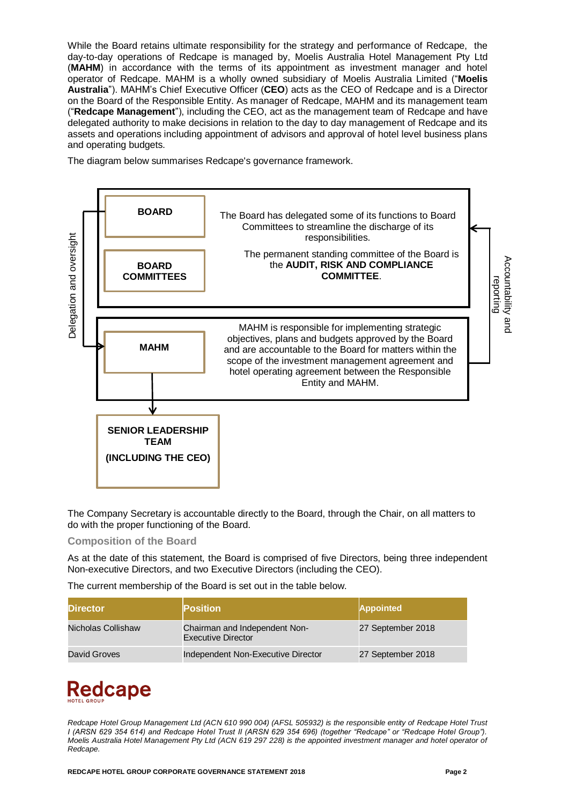While the Board retains ultimate responsibility for the strategy and performance of Redcape, the day-to-day operations of Redcape is managed by, Moelis Australia Hotel Management Pty Ltd (**MAHM**) in accordance with the terms of its appointment as investment manager and hotel operator of Redcape. MAHM is a wholly owned subsidiary of Moelis Australia Limited ("**Moelis Australia**"). MAHM's Chief Executive Officer (**CEO**) acts as the CEO of Redcape and is a Director on the Board of the Responsible Entity. As manager of Redcape, MAHM and its management team ("**Redcape Management**"), including the CEO, act as the management team of Redcape and have delegated authority to make decisions in relation to the day to day management of Redcape and its assets and operations including appointment of advisors and approval of hotel level business plans and operating budgets.

The diagram below summarises Redcape's governance framework.



The Company Secretary is accountable directly to the Board, through the Chair, on all matters to do with the proper functioning of the Board.

#### **Composition of the Board**

As at the date of this statement, the Board is comprised of five Directors, being three independent Non-executive Directors, and two Executive Directors (including the CEO).

The current membership of the Board is set out in the table below.

| <b>Director</b>    | <b>Position</b>                                            | <b>Appointed</b>  |
|--------------------|------------------------------------------------------------|-------------------|
| Nicholas Collishaw | Chairman and Independent Non-<br><b>Executive Director</b> | 27 September 2018 |
| David Groves       | Independent Non-Executive Director                         | 27 September 2018 |

# **Redcape**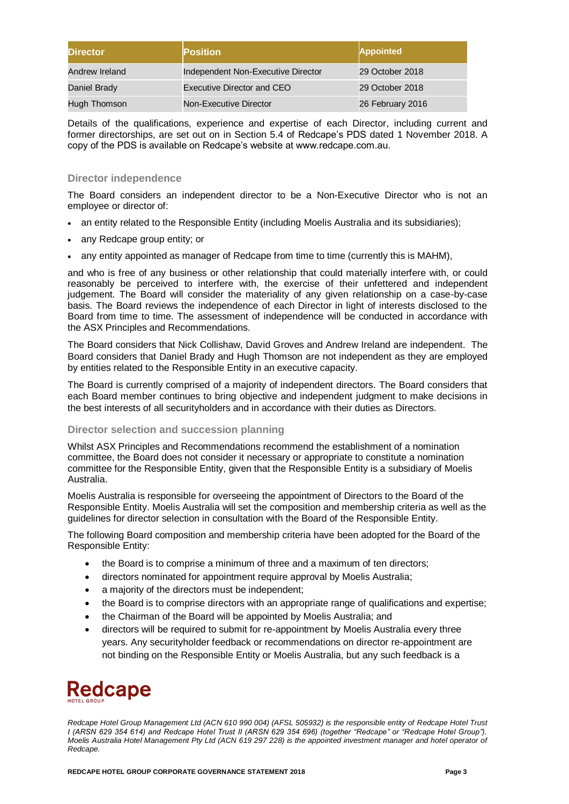| <b>Director</b> | <b>Position</b>                    | <b>Appointed</b> |
|-----------------|------------------------------------|------------------|
| Andrew Ireland  | Independent Non-Executive Director | 29 October 2018  |
| Daniel Brady    | Executive Director and CEO         | 29 October 2018  |
| Hugh Thomson    | Non-Executive Director             | 26 February 2016 |

Details of the qualifications, experience and expertise of each Director, including current and former directorships, are set out on in Section 5.4 of Redcape's PDS dated 1 November 2018. A copy of the PDS is available on Redcape's website at www.redcape.com.au.

#### **Director independence**

The Board considers an independent director to be a Non-Executive Director who is not an employee or director of:

- an entity related to the Responsible Entity (including Moelis Australia and its subsidiaries);
- any Redcape group entity; or
- any entity appointed as manager of Redcape from time to time (currently this is MAHM),

and who is free of any business or other relationship that could materially interfere with, or could reasonably be perceived to interfere with, the exercise of their unfettered and independent judgement. The Board will consider the materiality of any given relationship on a case-by-case basis. The Board reviews the independence of each Director in light of interests disclosed to the Board from time to time. The assessment of independence will be conducted in accordance with the ASX Principles and Recommendations.

The Board considers that Nick Collishaw, David Groves and Andrew Ireland are independent. The Board considers that Daniel Brady and Hugh Thomson are not independent as they are employed by entities related to the Responsible Entity in an executive capacity.

The Board is currently comprised of a majority of independent directors. The Board considers that each Board member continues to bring objective and independent judgment to make decisions in the best interests of all securityholders and in accordance with their duties as Directors.

#### **Director selection and succession planning**

Whilst ASX Principles and Recommendations recommend the establishment of a nomination committee, the Board does not consider it necessary or appropriate to constitute a nomination committee for the Responsible Entity, given that the Responsible Entity is a subsidiary of Moelis Australia.

Moelis Australia is responsible for overseeing the appointment of Directors to the Board of the Responsible Entity. Moelis Australia will set the composition and membership criteria as well as the guidelines for director selection in consultation with the Board of the Responsible Entity.

The following Board composition and membership criteria have been adopted for the Board of the Responsible Entity:

- the Board is to comprise a minimum of three and a maximum of ten directors;
- directors nominated for appointment require approval by Moelis Australia;
- a majority of the directors must be independent;
- the Board is to comprise directors with an appropriate range of qualifications and expertise;
- the Chairman of the Board will be appointed by Moelis Australia; and
- directors will be required to submit for re-appointment by Moelis Australia every three years. Any securityholder feedback or recommendations on director re-appointment are not binding on the Responsible Entity or Moelis Australia, but any such feedback is a

## **Redcape**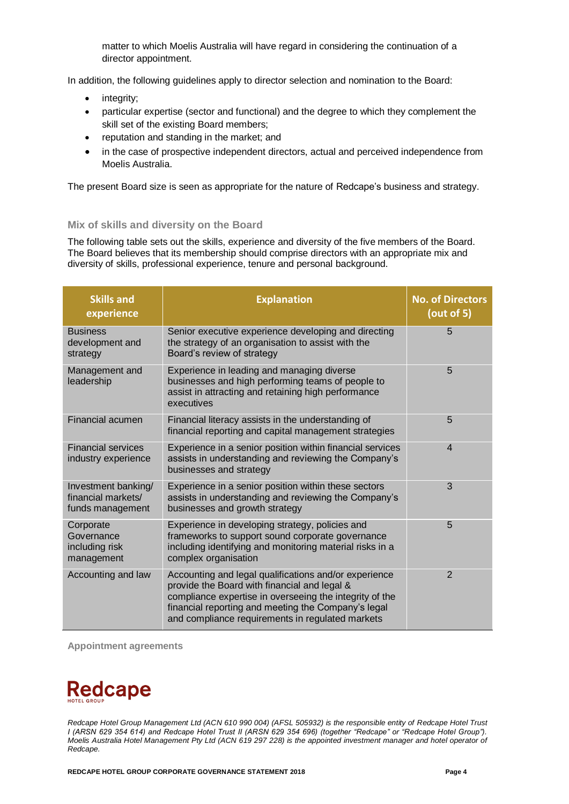matter to which Moelis Australia will have regard in considering the continuation of a director appointment.

In addition, the following guidelines apply to director selection and nomination to the Board:

- integrity;
- particular expertise (sector and functional) and the degree to which they complement the skill set of the existing Board members;
- reputation and standing in the market; and
- in the case of prospective independent directors, actual and perceived independence from Moelis Australia.

The present Board size is seen as appropriate for the nature of Redcape's business and strategy.

#### **Mix of skills and diversity on the Board**

The following table sets out the skills, experience and diversity of the five members of the Board. The Board believes that its membership should comprise directors with an appropriate mix and diversity of skills, professional experience, tenure and personal background.

| <b>Skills and</b><br>experience                               | <b>Explanation</b>                                                                                                                                                                                                                                                          | <b>No. of Directors</b><br>(out of $5$ ) |
|---------------------------------------------------------------|-----------------------------------------------------------------------------------------------------------------------------------------------------------------------------------------------------------------------------------------------------------------------------|------------------------------------------|
| <b>Business</b><br>development and<br>strategy                | Senior executive experience developing and directing<br>the strategy of an organisation to assist with the<br>Board's review of strategy                                                                                                                                    | 5                                        |
| Management and<br>leadership                                  | Experience in leading and managing diverse<br>businesses and high performing teams of people to<br>assist in attracting and retaining high performance<br>executives                                                                                                        | 5                                        |
| Financial acumen                                              | Financial literacy assists in the understanding of<br>financial reporting and capital management strategies                                                                                                                                                                 | 5                                        |
| <b>Financial services</b><br>industry experience              | Experience in a senior position within financial services<br>assists in understanding and reviewing the Company's<br>businesses and strategy                                                                                                                                | $\overline{4}$                           |
| Investment banking/<br>financial markets/<br>funds management | Experience in a senior position within these sectors<br>assists in understanding and reviewing the Company's<br>businesses and growth strategy                                                                                                                              | 3                                        |
| Corporate<br>Governance<br>including risk<br>management       | Experience in developing strategy, policies and<br>frameworks to support sound corporate governance<br>including identifying and monitoring material risks in a<br>complex organisation                                                                                     | 5                                        |
| Accounting and law                                            | Accounting and legal qualifications and/or experience<br>provide the Board with financial and legal &<br>compliance expertise in overseeing the integrity of the<br>financial reporting and meeting the Company's legal<br>and compliance requirements in regulated markets | $\overline{2}$                           |

**Appointment agreements**

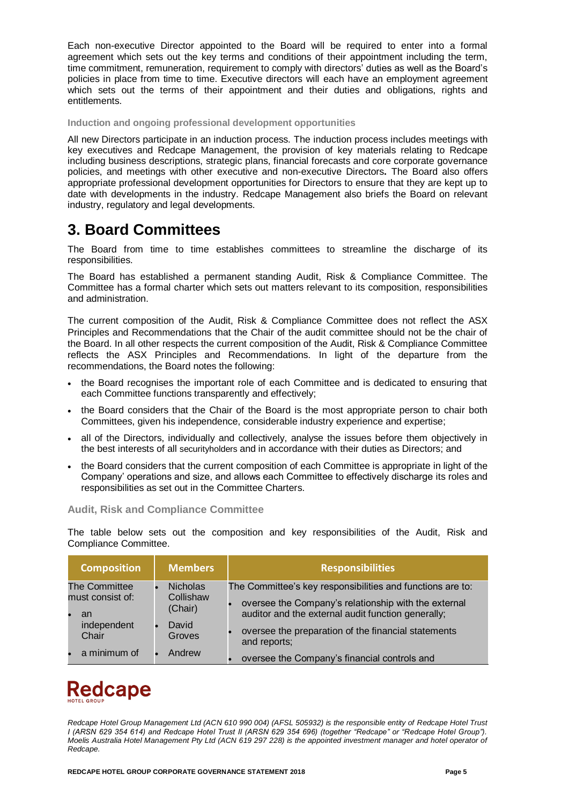Each non-executive Director appointed to the Board will be required to enter into a formal agreement which sets out the key terms and conditions of their appointment including the term, time commitment, remuneration, requirement to comply with directors' duties as well as the Board's policies in place from time to time. Executive directors will each have an employment agreement which sets out the terms of their appointment and their duties and obligations, rights and entitlements.

**Induction and ongoing professional development opportunities**

All new Directors participate in an induction process. The induction process includes meetings with key executives and Redcape Management, the provision of key materials relating to Redcape including business descriptions, strategic plans, financial forecasts and core corporate governance policies, and meetings with other executive and non-executive Directors**.** The Board also offers appropriate professional development opportunities for Directors to ensure that they are kept up to date with developments in the industry. Redcape Management also briefs the Board on relevant industry, regulatory and legal developments.

## **3. Board Committees**

The Board from time to time establishes committees to streamline the discharge of its responsibilities.

The Board has established a permanent standing Audit, Risk & Compliance Committee. The Committee has a formal charter which sets out matters relevant to its composition, responsibilities and administration.

The current composition of the Audit, Risk & Compliance Committee does not reflect the ASX Principles and Recommendations that the Chair of the audit committee should not be the chair of the Board. In all other respects the current composition of the Audit, Risk & Compliance Committee reflects the ASX Principles and Recommendations. In light of the departure from the recommendations, the Board notes the following:

- the Board recognises the important role of each Committee and is dedicated to ensuring that each Committee functions transparently and effectively;
- the Board considers that the Chair of the Board is the most appropriate person to chair both Committees, given his independence, considerable industry experience and expertise;
- all of the Directors, individually and collectively, analyse the issues before them objectively in the best interests of all securityholders and in accordance with their duties as Directors; and
- the Board considers that the current composition of each Committee is appropriate in light of the Company' operations and size, and allows each Committee to effectively discharge its roles and responsibilities as set out in the Committee Charters.

#### **Audit, Risk and Compliance Committee**

The table below sets out the composition and key responsibilities of the Audit, Risk and Compliance Committee.

| <b>Composition</b>     | <b>Members</b>       | <b>Responsibilities</b>                                                                                    |
|------------------------|----------------------|------------------------------------------------------------------------------------------------------------|
| <b>The Committee</b>   | <b>Nicholas</b>      | The Committee's key responsibilities and functions are to:                                                 |
| must consist of:<br>an | Collishaw<br>(Chair) | oversee the Company's relationship with the external<br>auditor and the external audit function generally; |
| independent<br>Chair   | David<br>Groves      | oversee the preparation of the financial statements<br>and reports;                                        |
| a minimum of           | Andrew               | oversee the Company's financial controls and                                                               |

# **Redcape**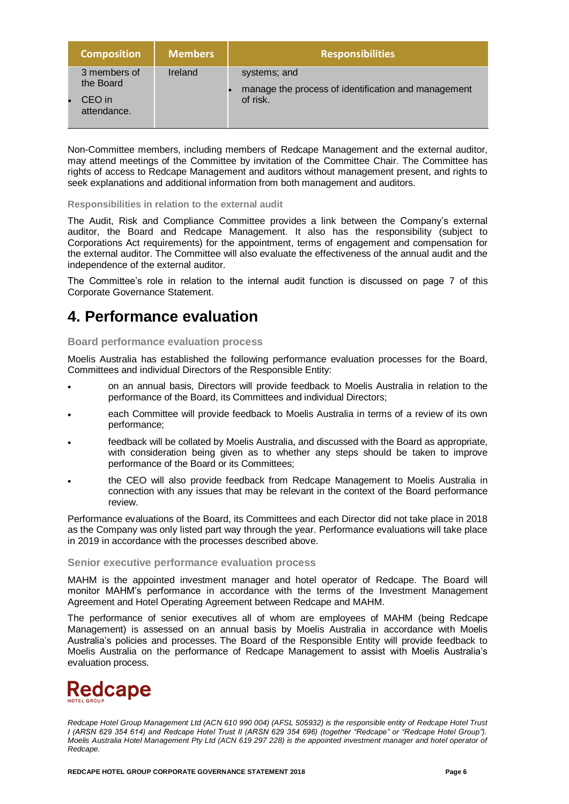| <b>Composition</b>                                 | <b>Members</b> | <b>Responsibilities</b>                                                         |
|----------------------------------------------------|----------------|---------------------------------------------------------------------------------|
| 3 members of<br>the Board<br>CEO in<br>attendance. | Ireland        | systems; and<br>manage the process of identification and management<br>of risk. |

Non-Committee members, including members of Redcape Management and the external auditor, may attend meetings of the Committee by invitation of the Committee Chair. The Committee has rights of access to Redcape Management and auditors without management present, and rights to seek explanations and additional information from both management and auditors.

#### **Responsibilities in relation to the external audit**

The Audit, Risk and Compliance Committee provides a link between the Company's external auditor, the Board and Redcape Management. It also has the responsibility (subject to Corporations Act requirements) for the appointment, terms of engagement and compensation for the external auditor. The Committee will also evaluate the effectiveness of the annual audit and the independence of the external auditor.

The Committee's role in relation to the internal audit function is discussed on page 7 of this Corporate Governance Statement.

## **4. Performance evaluation**

#### **Board performance evaluation process**

Moelis Australia has established the following performance evaluation processes for the Board, Committees and individual Directors of the Responsible Entity:

- on an annual basis, Directors will provide feedback to Moelis Australia in relation to the performance of the Board, its Committees and individual Directors;
- each Committee will provide feedback to Moelis Australia in terms of a review of its own performance;
- feedback will be collated by Moelis Australia, and discussed with the Board as appropriate, with consideration being given as to whether any steps should be taken to improve performance of the Board or its Committees;
- the CEO will also provide feedback from Redcape Management to Moelis Australia in connection with any issues that may be relevant in the context of the Board performance review.

Performance evaluations of the Board, its Committees and each Director did not take place in 2018 as the Company was only listed part way through the year. Performance evaluations will take place in 2019 in accordance with the processes described above.

#### **Senior executive performance evaluation process**

MAHM is the appointed investment manager and hotel operator of Redcape. The Board will monitor MAHM's performance in accordance with the terms of the Investment Management Agreement and Hotel Operating Agreement between Redcape and MAHM.

The performance of senior executives all of whom are employees of MAHM (being Redcape Management) is assessed on an annual basis by Moelis Australia in accordance with Moelis Australia's policies and processes. The Board of the Responsible Entity will provide feedback to Moelis Australia on the performance of Redcape Management to assist with Moelis Australia's evaluation process.

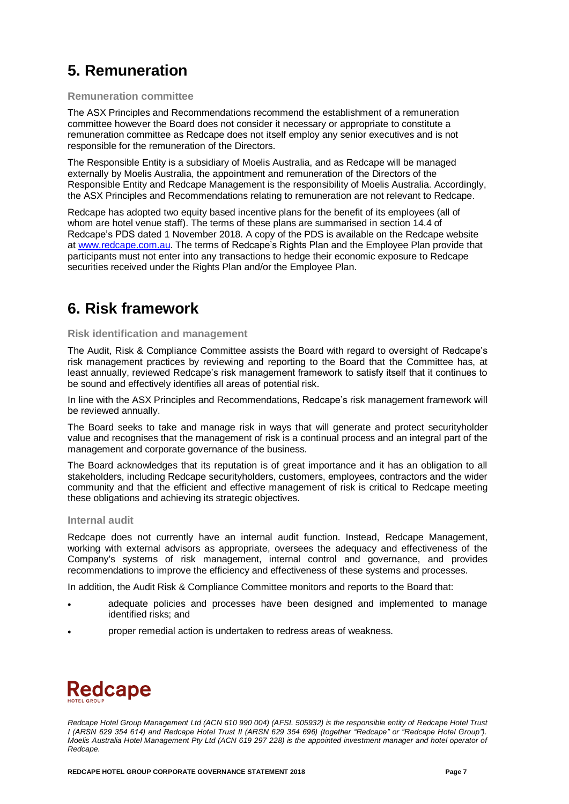## **5. Remuneration**

#### **Remuneration committee**

The ASX Principles and Recommendations recommend the establishment of a remuneration committee however the Board does not consider it necessary or appropriate to constitute a remuneration committee as Redcape does not itself employ any senior executives and is not responsible for the remuneration of the Directors.

The Responsible Entity is a subsidiary of Moelis Australia, and as Redcape will be managed externally by Moelis Australia, the appointment and remuneration of the Directors of the Responsible Entity and Redcape Management is the responsibility of Moelis Australia. Accordingly, the ASX Principles and Recommendations relating to remuneration are not relevant to Redcape.

Redcape has adopted two equity based incentive plans for the benefit of its employees (all of whom are hotel venue staff). The terms of these plans are summarised in section 14.4 of Redcape's PDS dated 1 November 2018. A copy of the PDS is available on the Redcape website at [www.redcape.com.au.](http://www.redcape.com.au/) The terms of Redcape's Rights Plan and the Employee Plan provide that participants must not enter into any transactions to hedge their economic exposure to Redcape securities received under the Rights Plan and/or the Employee Plan.

## **6. Risk framework**

#### **Risk identification and management**

The Audit, Risk & Compliance Committee assists the Board with regard to oversight of Redcape's risk management practices by reviewing and reporting to the Board that the Committee has, at least annually, reviewed Redcape's risk management framework to satisfy itself that it continues to be sound and effectively identifies all areas of potential risk.

In line with the ASX Principles and Recommendations, Redcape's risk management framework will be reviewed annually.

The Board seeks to take and manage risk in ways that will generate and protect securityholder value and recognises that the management of risk is a continual process and an integral part of the management and corporate governance of the business.

The Board acknowledges that its reputation is of great importance and it has an obligation to all stakeholders, including Redcape securityholders, customers, employees, contractors and the wider community and that the efficient and effective management of risk is critical to Redcape meeting these obligations and achieving its strategic objectives.

#### **Internal audit**

Redcape does not currently have an internal audit function. Instead, Redcape Management, working with external advisors as appropriate, oversees the adequacy and effectiveness of the Company's systems of risk management, internal control and governance, and provides recommendations to improve the efficiency and effectiveness of these systems and processes.

In addition, the Audit Risk & Compliance Committee monitors and reports to the Board that:

- adequate policies and processes have been designed and implemented to manage identified risks; and
- proper remedial action is undertaken to redress areas of weakness.

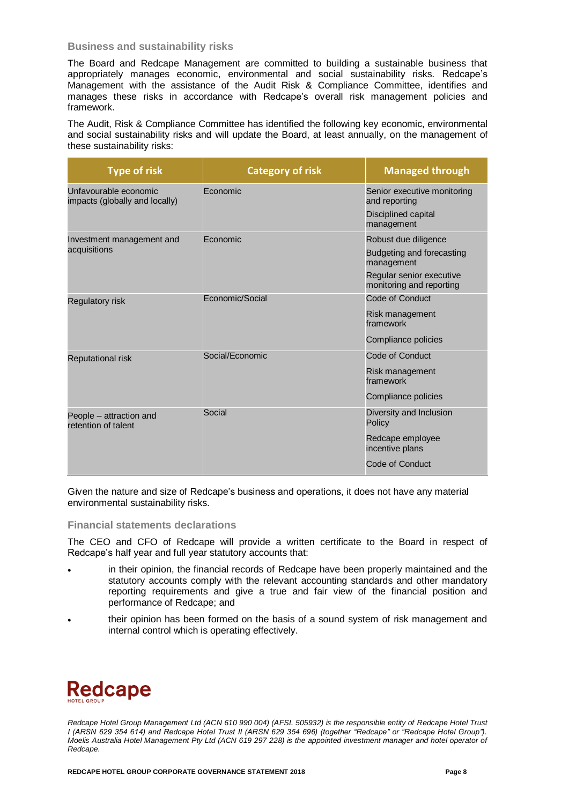#### **Business and sustainability risks**

The Board and Redcape Management are committed to building a sustainable business that appropriately manages economic, environmental and social sustainability risks. Redcape's Management with the assistance of the Audit Risk & Compliance Committee, identifies and manages these risks in accordance with Redcape's overall risk management policies and framework.

The Audit, Risk & Compliance Committee has identified the following key economic, environmental and social sustainability risks and will update the Board, at least annually, on the management of these sustainability risks:

| <b>Type of risk</b>                                     | <b>Category of risk</b> | <b>Managed through</b>                               |
|---------------------------------------------------------|-------------------------|------------------------------------------------------|
| Unfavourable economic<br>impacts (globally and locally) | Economic                | Senior executive monitoring<br>and reporting         |
|                                                         |                         | Disciplined capital<br>management                    |
| Investment management and                               | Economic                | Robust due diligence                                 |
| acquisitions                                            |                         | Budgeting and forecasting<br>management              |
|                                                         |                         | Regular senior executive<br>monitoring and reporting |
| <b>Regulatory risk</b>                                  | Economic/Social         | Code of Conduct                                      |
|                                                         |                         | Risk management<br>framework                         |
|                                                         |                         | Compliance policies                                  |
| <b>Reputational risk</b>                                | Social/Economic         | <b>Code of Conduct</b>                               |
|                                                         |                         | Risk management<br>framework                         |
|                                                         |                         | Compliance policies                                  |
| People - attraction and<br>retention of talent          | Social                  | Diversity and Inclusion<br>Policy                    |
|                                                         |                         | Redcape employee<br>incentive plans                  |
|                                                         |                         | Code of Conduct                                      |

Given the nature and size of Redcape's business and operations, it does not have any material environmental sustainability risks.

#### **Financial statements declarations**

The CEO and CFO of Redcape will provide a written certificate to the Board in respect of Redcape's half year and full year statutory accounts that:

- in their opinion, the financial records of Redcape have been properly maintained and the statutory accounts comply with the relevant accounting standards and other mandatory reporting requirements and give a true and fair view of the financial position and performance of Redcape; and
- their opinion has been formed on the basis of a sound system of risk management and internal control which is operating effectively.

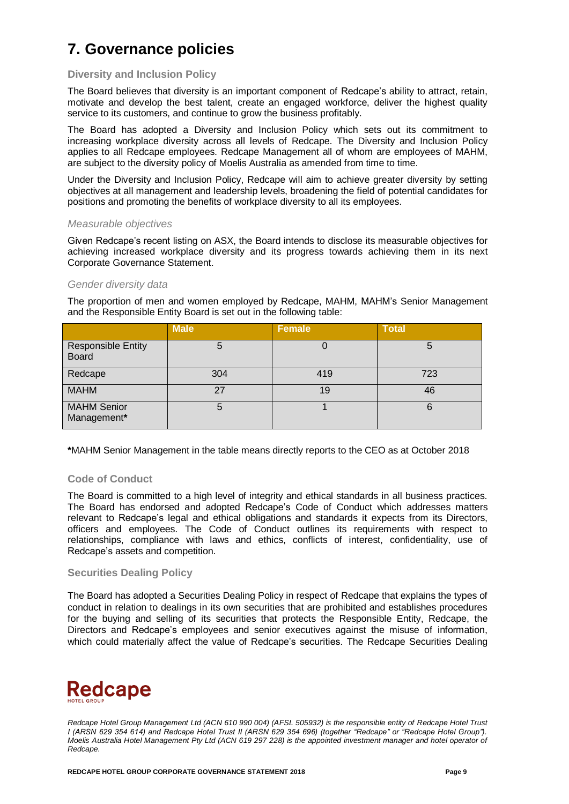## **7. Governance policies**

#### **Diversity and Inclusion Policy**

The Board believes that diversity is an important component of Redcape's ability to attract, retain, motivate and develop the best talent, create an engaged workforce, deliver the highest quality service to its customers, and continue to grow the business profitably.

The Board has adopted a Diversity and Inclusion Policy which sets out its commitment to increasing workplace diversity across all levels of Redcape. The Diversity and Inclusion Policy applies to all Redcape employees. Redcape Management all of whom are employees of MAHM, are subject to the diversity policy of Moelis Australia as amended from time to time.

Under the Diversity and Inclusion Policy, Redcape will aim to achieve greater diversity by setting objectives at all management and leadership levels, broadening the field of potential candidates for positions and promoting the benefits of workplace diversity to all its employees.

#### *Measurable objectives*

Given Redcape's recent listing on ASX, the Board intends to disclose its measurable objectives for achieving increased workplace diversity and its progress towards achieving them in its next Corporate Governance Statement.

#### *Gender diversity data*

The proportion of men and women employed by Redcape, MAHM, MAHM's Senior Management and the Responsible Entity Board is set out in the following table:

|                                           | <b>Male</b> | <b>Female</b> | <b>Total</b> |
|-------------------------------------------|-------------|---------------|--------------|
| <b>Responsible Entity</b><br><b>Board</b> | 5           |               | 5            |
| Redcape                                   | 304         | 419           | 723          |
| <b>MAHM</b>                               | 27          | 19            | 46           |
| <b>MAHM Senior</b><br>Management*         | 5           |               | 6            |

**\***MAHM Senior Management in the table means directly reports to the CEO as at October 2018

#### **Code of Conduct**

The Board is committed to a high level of integrity and ethical standards in all business practices. The Board has endorsed and adopted Redcape's Code of Conduct which addresses matters relevant to Redcape's legal and ethical obligations and standards it expects from its Directors, officers and employees. The Code of Conduct outlines its requirements with respect to relationships, compliance with laws and ethics, conflicts of interest, confidentiality, use of Redcape's assets and competition.

#### **Securities Dealing Policy**

The Board has adopted a Securities Dealing Policy in respect of Redcape that explains the types of conduct in relation to dealings in its own securities that are prohibited and establishes procedures for the buying and selling of its securities that protects the Responsible Entity, Redcape, the Directors and Redcape's employees and senior executives against the misuse of information, which could materially affect the value of Redcape's securities. The Redcape Securities Dealing